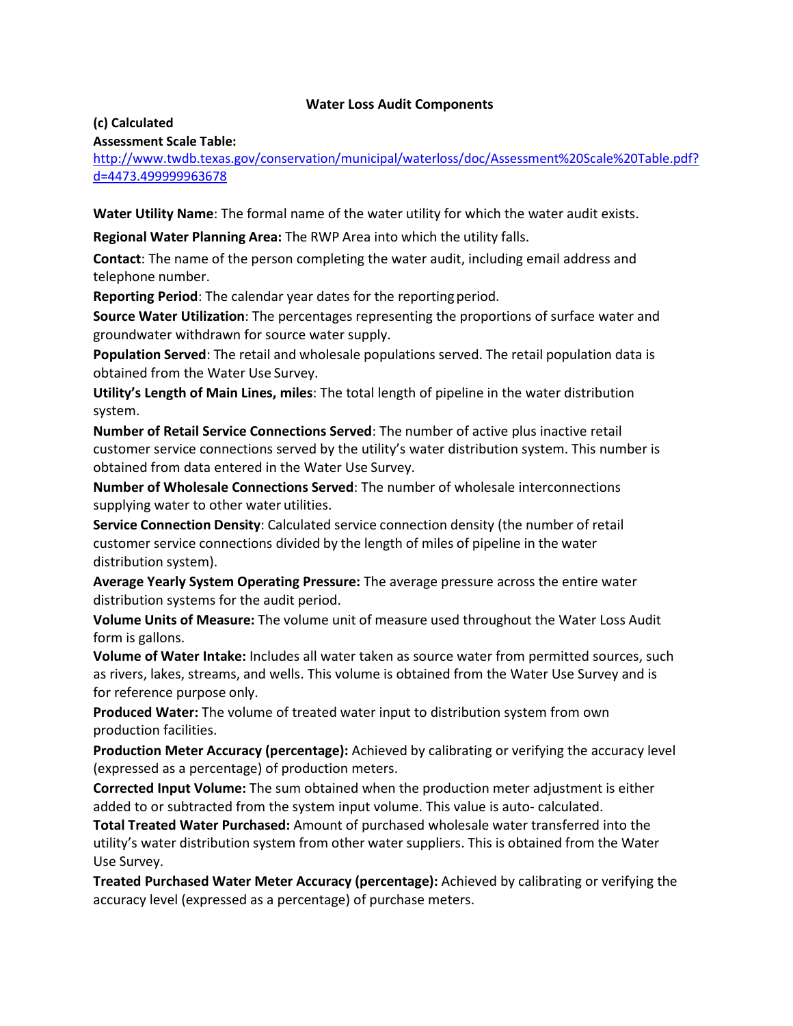## **Water Loss Audit Components**

#### **(c) Calculated**

### **Assessment Scale Table:**

[http://www.twdb.texas.gov/conservation/municipal/waterloss/doc/Assessment%20Scale%20Table.pdf?](http://www.twdb.texas.gov/conservation/municipal/waterloss/doc/Assessment%20Scale%20Table.pdf?d=4473.499999963678) [d=4473.499999963678](http://www.twdb.texas.gov/conservation/municipal/waterloss/doc/Assessment%20Scale%20Table.pdf?d=4473.499999963678)

**Water Utility Name**: The formal name of the water utility for which the water audit exists.

**Regional Water Planning Area:** The RWP Area into which the utility falls.

**Contact**: The name of the person completing the water audit, including email address and telephone number.

**Reporting Period:** The calendar year dates for the reporting period.

**Source Water Utilization**: The percentages representing the proportions of surface water and groundwater withdrawn for source water supply.

**Population Served**: The retail and wholesale populations served. The retail population data is obtained from the Water Use Survey.

**Utility's Length of Main Lines, miles**: The total length of pipeline in the water distribution system.

**Number of Retail Service Connections Served**: The number of active plus inactive retail customer service connections served by the utility's water distribution system. This number is obtained from data entered in the Water Use Survey.

**Number of Wholesale Connections Served**: The number of wholesale interconnections supplying water to other water utilities.

**Service Connection Density**: Calculated service connection density (the number of retail customer service connections divided by the length of miles of pipeline in the water distribution system).

**Average Yearly System Operating Pressure:** The average pressure across the entire water distribution systems for the audit period.

**Volume Units of Measure:** The volume unit of measure used throughout the Water Loss Audit form is gallons.

**Volume of Water Intake:** Includes all water taken as source water from permitted sources, such as rivers, lakes, streams, and wells. This volume is obtained from the Water Use Survey and is for reference purpose only.

**Produced Water:** The volume of treated water input to distribution system from own production facilities.

**Production Meter Accuracy (percentage):** Achieved by calibrating or verifying the accuracy level (expressed as a percentage) of production meters.

**Corrected Input Volume:** The sum obtained when the production meter adjustment is either added to or subtracted from the system input volume. This value is auto- calculated.

**Total Treated Water Purchased:** Amount of purchased wholesale water transferred into the utility's water distribution system from other water suppliers. This is obtained from the Water Use Survey.

**Treated Purchased Water Meter Accuracy (percentage):** Achieved by calibrating or verifying the accuracy level (expressed as a percentage) of purchase meters.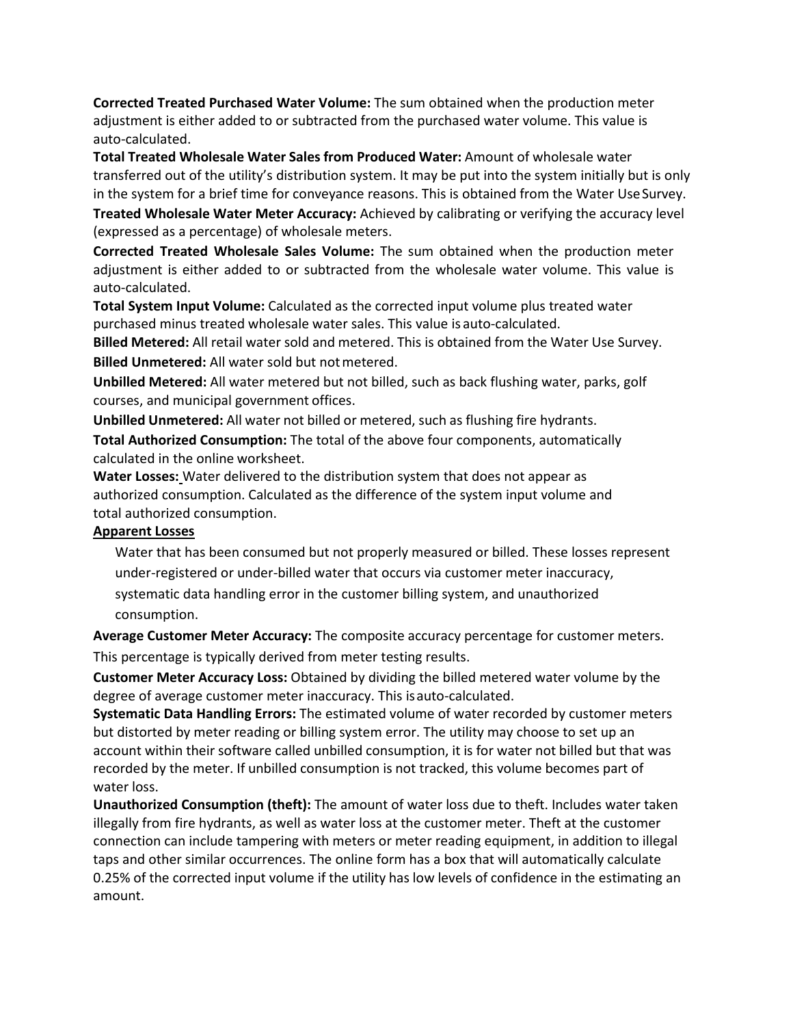**Corrected Treated Purchased Water Volume:** The sum obtained when the production meter adjustment is either added to or subtracted from the purchased water volume. This value is auto-calculated.

**Total Treated Wholesale Water Sales from Produced Water:** Amount of wholesale water transferred out of the utility's distribution system. It may be put into the system initially but is only in the system for a brief time for conveyance reasons. This is obtained from the Water UseSurvey.

**Treated Wholesale Water Meter Accuracy:** Achieved by calibrating or verifying the accuracy level (expressed as a percentage) of wholesale meters.

**Corrected Treated Wholesale Sales Volume:** The sum obtained when the production meter adjustment is either added to or subtracted from the wholesale water volume. This value is auto-calculated.

**Total System Input Volume:** Calculated as the corrected input volume plus treated water purchased minus treated wholesale water sales. This value is auto-calculated.

**Billed Metered:** All retail water sold and metered. This is obtained from the Water Use Survey. **Billed Unmetered:** All water sold but notmetered.

**Unbilled Metered:** All water metered but not billed, such as back flushing water, parks, golf courses, and municipal government offices.

**Unbilled Unmetered:** All water not billed or metered, such as flushing fire hydrants.

**Total Authorized Consumption:** The total of the above four components, automatically calculated in the online worksheet.

**Water Losses:** Water delivered to the distribution system that does not appear as authorized consumption. Calculated as the difference of the system input volume and total authorized consumption.

# **Apparent Losses**

Water that has been consumed but not properly measured or billed. These losses represent under-registered or under-billed water that occurs via customer meter inaccuracy, systematic data handling error in the customer billing system, and unauthorized consumption.

**Average Customer Meter Accuracy:** The composite accuracy percentage for customer meters. This percentage is typically derived from meter testing results.

**Customer Meter Accuracy Loss:** Obtained by dividing the billed metered water volume by the degree of average customer meter inaccuracy. This isauto-calculated.

**Systematic Data Handling Errors:** The estimated volume of water recorded by customer meters but distorted by meter reading or billing system error. The utility may choose to set up an account within their software called unbilled consumption, it is for water not billed but that was recorded by the meter. If unbilled consumption is not tracked, this volume becomes part of water loss.

**Unauthorized Consumption (theft):** The amount of water loss due to theft. Includes water taken illegally from fire hydrants, as well as water loss at the customer meter. Theft at the customer connection can include tampering with meters or meter reading equipment, in addition to illegal taps and other similar occurrences. The online form has a box that will automatically calculate 0.25% of the corrected input volume if the utility has low levels of confidence in the estimating an amount.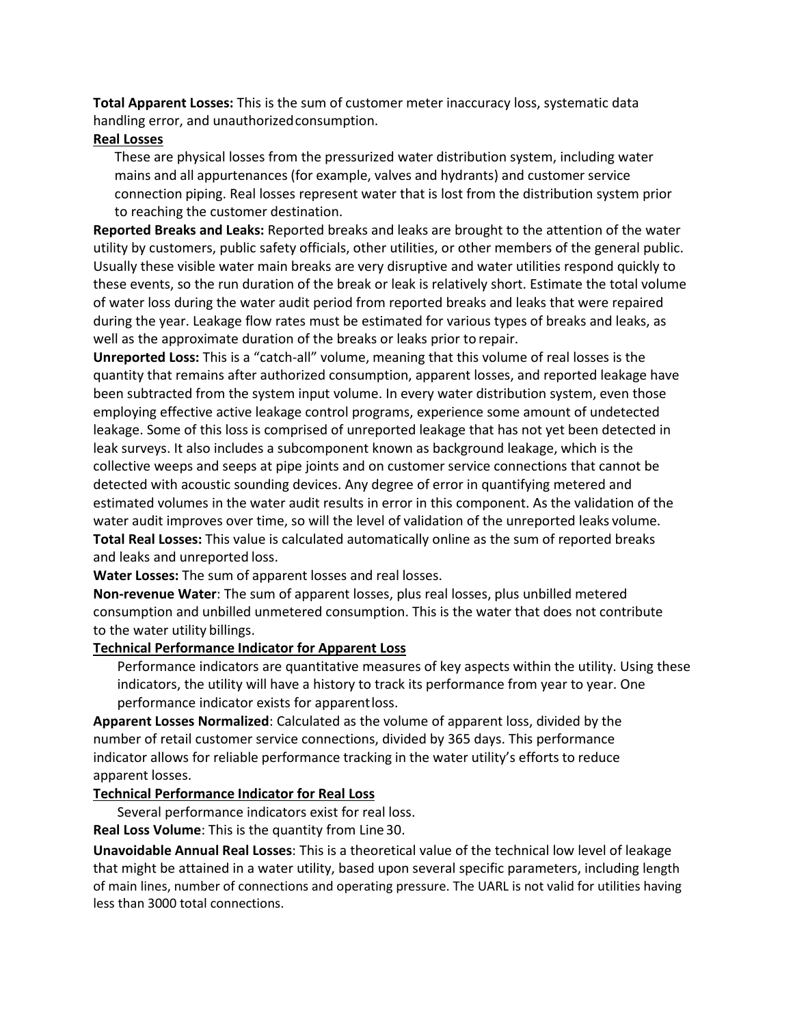**Total Apparent Losses:** This is the sum of customer meter inaccuracy loss, systematic data handling error, and unauthorizedconsumption.

#### **Real Losses**

These are physical losses from the pressurized water distribution system, including water mains and all appurtenances (for example, valves and hydrants) and customer service connection piping. Real losses represent water that is lost from the distribution system prior to reaching the customer destination.

**Reported Breaks and Leaks:** Reported breaks and leaks are brought to the attention of the water utility by customers, public safety officials, other utilities, or other members of the general public. Usually these visible water main breaks are very disruptive and water utilities respond quickly to these events, so the run duration of the break or leak is relatively short. Estimate the total volume of water loss during the water audit period from reported breaks and leaks that were repaired during the year. Leakage flow rates must be estimated for various types of breaks and leaks, as well as the approximate duration of the breaks or leaks prior to repair.

**Unreported Loss:** This is a "catch-all" volume, meaning that this volume of real losses is the quantity that remains after authorized consumption, apparent losses, and reported leakage have been subtracted from the system input volume. In every water distribution system, even those employing effective active leakage control programs, experience some amount of undetected leakage. Some of this loss is comprised of unreported leakage that has not yet been detected in leak surveys. It also includes a subcomponent known as background leakage, which is the collective weeps and seeps at pipe joints and on customer service connections that cannot be detected with acoustic sounding devices. Any degree of error in quantifying metered and estimated volumes in the water audit results in error in this component. As the validation of the water audit improves over time, so will the level of validation of the unreported leaks volume. **Total Real Losses:** This value is calculated automatically online as the sum of reported breaks and leaks and unreported loss.

**Water Losses:** The sum of apparent losses and real losses.

**Non-revenue Water**: The sum of apparent losses, plus real losses, plus unbilled metered consumption and unbilled unmetered consumption. This is the water that does not contribute to the water utility billings.

## **Technical Performance Indicator for Apparent Loss**

Performance indicators are quantitative measures of key aspects within the utility. Using these indicators, the utility will have a history to track its performance from year to year. One performance indicator exists for apparentloss.

**Apparent Losses Normalized**: Calculated as the volume of apparent loss, divided by the number of retail customer service connections, divided by 365 days. This performance indicator allows for reliable performance tracking in the water utility's efforts to reduce apparent losses.

### **Technical Performance Indicator for Real Loss**

Several performance indicators exist for real loss.

**Real Loss Volume**: This is the quantity from Line 30.

**Unavoidable Annual Real Losses**: This is a theoretical value of the technical low level of leakage that might be attained in a water utility, based upon several specific parameters, including length of main lines, number of connections and operating pressure. The UARL is not valid for utilities having less than 3000 total connections.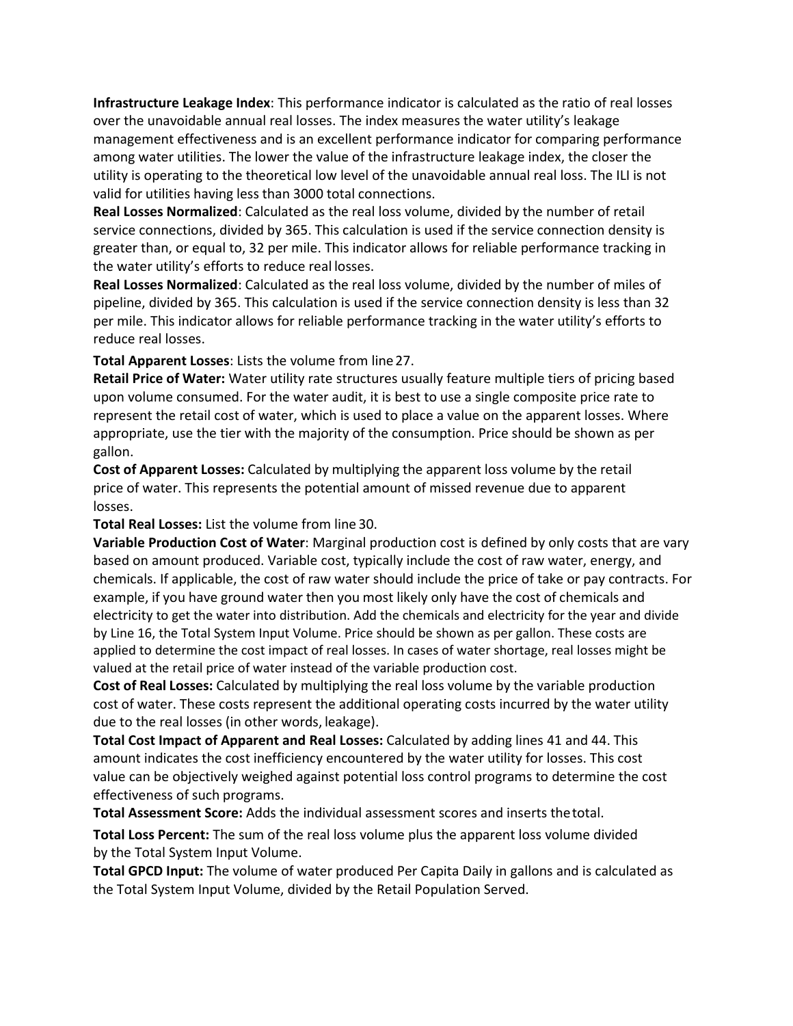**Infrastructure Leakage Index**: This performance indicator is calculated as the ratio of real losses over the unavoidable annual real losses. The index measures the water utility's leakage management effectiveness and is an excellent performance indicator for comparing performance among water utilities. The lower the value of the infrastructure leakage index, the closer the utility is operating to the theoretical low level of the unavoidable annual real loss. The ILI is not valid for utilities having less than 3000 total connections.

**Real Losses Normalized**: Calculated as the real loss volume, divided by the number of retail service connections, divided by 365. This calculation is used if the service connection density is greater than, or equal to, 32 per mile. This indicator allows for reliable performance tracking in the water utility's efforts to reduce real losses.

**Real Losses Normalized**: Calculated as the real loss volume, divided by the number of miles of pipeline, divided by 365. This calculation is used if the service connection density is less than 32 per mile. This indicator allows for reliable performance tracking in the water utility's efforts to reduce real losses.

**Total Apparent Losses**: Lists the volume from line27.

**Retail Price of Water:** Water utility rate structures usually feature multiple tiers of pricing based upon volume consumed. For the water audit, it is best to use a single composite price rate to represent the retail cost of water, which is used to place a value on the apparent losses. Where appropriate, use the tier with the majority of the consumption. Price should be shown as per gallon.

**Cost of Apparent Losses:** Calculated by multiplying the apparent loss volume by the retail price of water. This represents the potential amount of missed revenue due to apparent losses.

**Total Real Losses:** List the volume from line 30.

**Variable Production Cost of Water**: Marginal production cost is defined by only costs that are vary based on amount produced. Variable cost, typically include the cost of raw water, energy, and chemicals. If applicable, the cost of raw water should include the price of take or pay contracts. For example, if you have ground water then you most likely only have the cost of chemicals and electricity to get the water into distribution. Add the chemicals and electricity for the year and divide by Line 16, the Total System Input Volume. Price should be shown as per gallon. These costs are applied to determine the cost impact of real losses. In cases of water shortage, real losses might be valued at the retail price of water instead of the variable production cost.

**Cost of Real Losses:** Calculated by multiplying the real loss volume by the variable production cost of water. These costs represent the additional operating costs incurred by the water utility due to the real losses (in other words, leakage).

**Total Cost Impact of Apparent and Real Losses:** Calculated by adding lines 41 and 44. This amount indicates the cost inefficiency encountered by the water utility for losses. This cost value can be objectively weighed against potential loss control programs to determine the cost effectiveness of such programs.

**Total Assessment Score:** Adds the individual assessment scores and inserts thetotal.

**Total Loss Percent:** The sum of the real loss volume plus the apparent loss volume divided by the Total System Input Volume.

**Total GPCD Input:** The volume of water produced Per Capita Daily in gallons and is calculated as the Total System Input Volume, divided by the Retail Population Served.